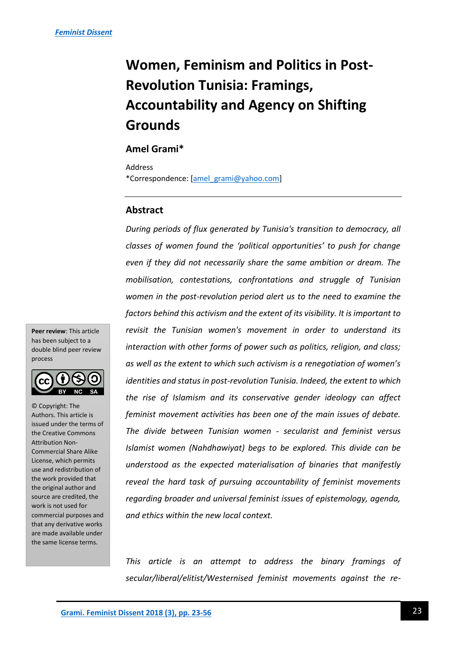# **Women, Feminism and Politics in Post-Revolution Tunisia: Framings, Accountability and Agency on Shifting Grounds**

# **Amel Grami\***

Address \*Correspondence: [\[amel\\_grami@yahoo.com\]](mailto:amel_grami@yahoo.com)

# **Abstract**

*During periods of flux generated by Tunisia's transition to democracy, all classes of women found the 'political opportunities' to push for change even if they did not necessarily share the same ambition or dream. The mobilisation, contestations, confrontations and struggle of Tunisian women in the post-revolution period alert us to the need to examine the factors behind this activism and the extent of its visibility. It is important to revisit the Tunisian women's movement in order to understand its interaction with other forms of power such as politics, religion, and class; as well as the extent to which such activism is a renegotiation of women's identities and status in post-revolution Tunisia. Indeed, the extent to which the rise of Islamism and its conservative gender ideology can affect feminist movement activities has been one of the main issues of debate. The divide between Tunisian women - secularist and feminist versus Islamist women (Nahdhawiyat) begs to be explored. This divide can be understood as the expected materialisation of binaries that manifestly reveal the hard task of pursuing accountability of feminist movements regarding broader and universal feminist issues of epistemology, agenda, and ethics within the new local context.*

*This article is an attempt to address the binary framings of secular/liberal/elitist/Westernised feminist movements against the re-*

**Peer review**: This article has been subject to a double blind peer review process



© Copyright: The Authors. This article is issued under the terms of the Creative Commons Attribution Non-Commercial Share Alike License, which permits use and redistribution of the work provided that the original author and source are credited, the work is not used for commercial purposes and that any derivative works are made available under the same license terms.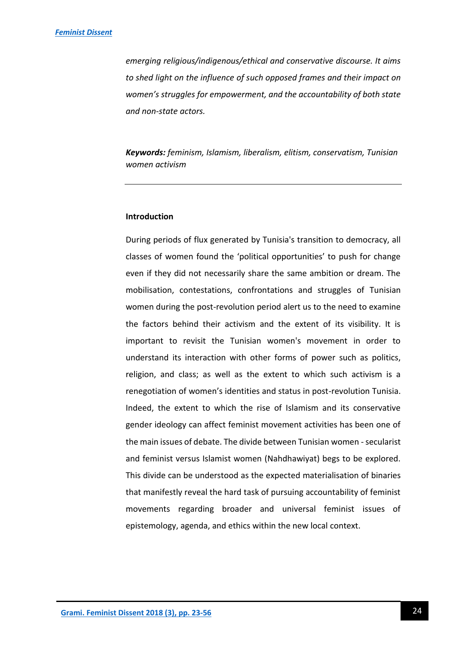*emerging religious/indigenous/ethical and conservative discourse. It aims to shed light on the influence of such opposed frames and their impact on women's struggles for empowerment, and the accountability of both state and non-state actors.*

*Keywords: feminism, Islamism, liberalism, elitism, conservatism, Tunisian women activism*

# **Introduction**

During periods of flux generated by Tunisia's transition to democracy, all classes of women found the 'political opportunities' to push for change even if they did not necessarily share the same ambition or dream. The mobilisation, contestations, confrontations and struggles of Tunisian women during the post-revolution period alert us to the need to examine the factors behind their activism and the extent of its visibility. It is important to revisit the Tunisian women's movement in order to understand its interaction with other forms of power such as politics, religion, and class; as well as the extent to which such activism is a renegotiation of women's identities and status in post-revolution Tunisia. Indeed, the extent to which the rise of Islamism and its conservative gender ideology can affect feminist movement activities has been one of the main issues of debate. The divide between Tunisian women - secularist and feminist versus Islamist women (Nahdhawiyat) begs to be explored. This divide can be understood as the expected materialisation of binaries that manifestly reveal the hard task of pursuing accountability of feminist movements regarding broader and universal feminist issues of epistemology, agenda, and ethics within the new local context.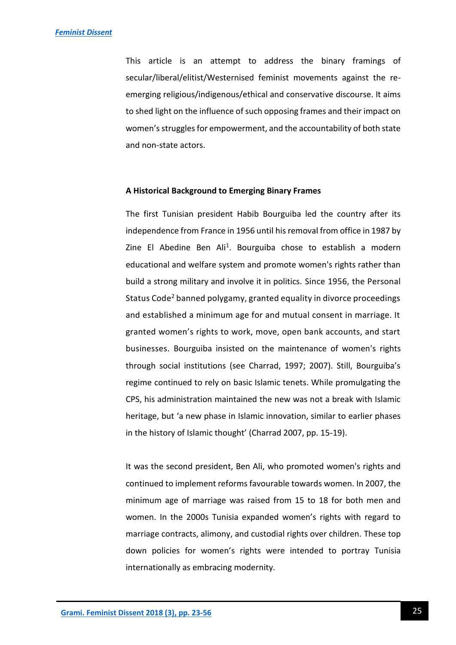This article is an attempt to address the binary framings of secular/liberal/elitist/Westernised feminist movements against the reemerging religious/indigenous/ethical and conservative discourse. It aims to shed light on the influence of such opposing frames and their impact on women's struggles for empowerment, and the accountability of both state and non-state actors.

#### **A Historical Background to Emerging Binary Frames**

The first Tunisian president Habib Bourguiba led the country after its independence from France in 1956 until his removal from office in 1987 by Zine El Abedine Ben Ali<sup>1</sup>. Bourguiba chose to establish a modern educational and welfare system and promote women's rights rather than build a strong military and involve it in politics. Since 1956, the Personal Status Code<sup>2</sup> banned polygamy, granted equality in divorce proceedings and established a minimum age for and mutual consent in marriage. It granted women's rights to work, move, open bank accounts, and start businesses. Bourguiba insisted on the maintenance of women's rights through social institutions (see Charrad, 1997; 2007). Still, Bourguiba's regime continued to rely on basic Islamic tenets. While promulgating the CPS, his administration maintained the new was not a break with Islamic heritage, but 'a new phase in Islamic innovation, similar to earlier phases in the history of Islamic thought' (Charrad 2007, pp. 15-19).

It was the second president, Ben Ali, who promoted women's rights and continued to implement reforms favourable towards women. In 2007, the minimum age of marriage was raised from 15 to 18 for both men and women. In the 2000s Tunisia expanded women's rights with regard to marriage contracts, alimony, and custodial rights over children. These top down policies for women's rights were intended to portray Tunisia internationally as embracing modernity.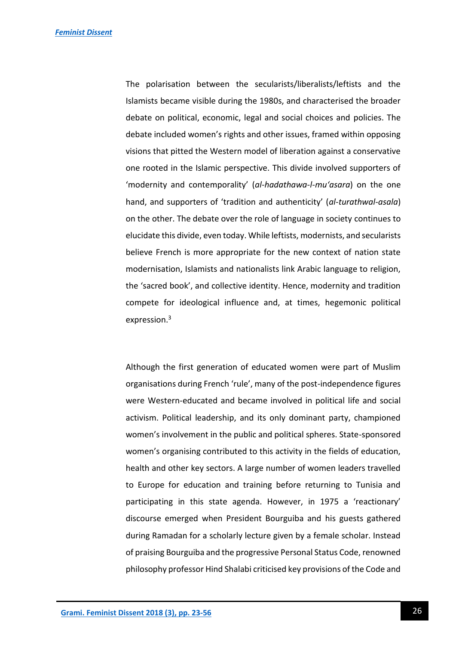The polarisation between the secularists/liberalists/leftists and the Islamists became visible during the 1980s, and characterised the broader debate on political, economic, legal and social choices and policies. The debate included women's rights and other issues, framed within opposing visions that pitted the Western model of liberation against a conservative one rooted in the Islamic perspective. This divide involved supporters of 'modernity and contemporality' (*al-hadathawa-l-mu'asara*) on the one hand, and supporters of 'tradition and authenticity' (*al-turathwal-asala*) on the other. The debate over the role of language in society continues to elucidate this divide, even today. While leftists, modernists, and secularists believe French is more appropriate for the new context of nation state modernisation, Islamists and nationalists link Arabic language to religion, the 'sacred book', and collective identity. Hence, modernity and tradition compete for ideological influence and, at times, hegemonic political expression.<sup>3</sup>

Although the first generation of educated women were part of Muslim organisations during French 'rule', many of the post-independence figures were Western-educated and became involved in political life and social activism. Political leadership, and its only dominant party, championed women's involvement in the public and political spheres. State-sponsored women's organising contributed to this activity in the fields of education, health and other key sectors. A large number of women leaders travelled to Europe for education and training before returning to Tunisia and participating in this state agenda. However, in 1975 a 'reactionary' discourse emerged when President Bourguiba and his guests gathered during Ramadan for a scholarly lecture given by a female scholar. Instead of praising Bourguiba and the progressive Personal Status Code, renowned philosophy professor Hind Shalabi criticised key provisions of the Code and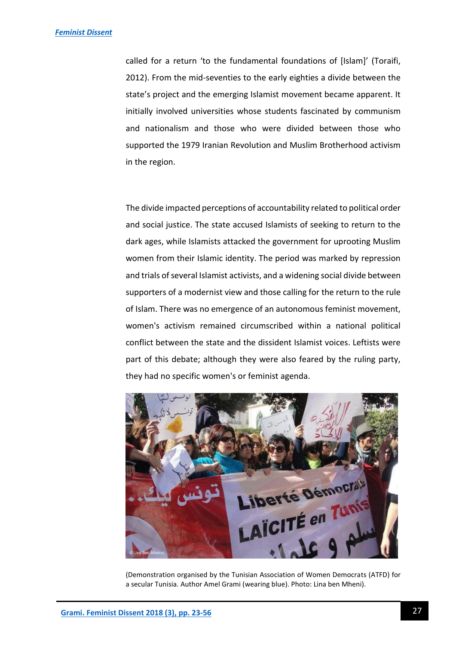called for a return 'to the fundamental foundations of [Islam]' (Toraifi, 2012). From the mid-seventies to the early eighties a divide between the state's project and the emerging Islamist movement became apparent. It initially involved universities whose students fascinated by communism and nationalism and those who were divided between those who supported the 1979 Iranian Revolution and Muslim Brotherhood activism in the region.

The divide impacted perceptions of accountability related to political order and social justice. The state accused Islamists of seeking to return to the dark ages, while Islamists attacked the government for uprooting Muslim women from their Islamic identity. The period was marked by repression and trials of several Islamist activists, and a widening social divide between supporters of a modernist view and those calling for the return to the rule of Islam. There was no emergence of an autonomous feminist movement, women's activism remained circumscribed within a national political conflict between the state and the dissident Islamist voices. Leftists were part of this debate; although they were also feared by the ruling party, they had no specific women's or feminist agenda.



(Demonstration organised by the Tunisian Association of Women Democrats (ATFD) for a secular Tunisia. Author Amel Grami (wearing blue). Photo: Lina ben Mheni).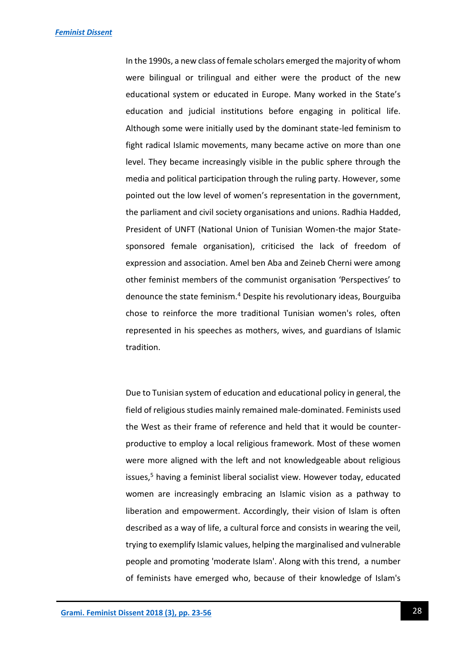In the 1990s, a new class of female scholars emerged the majority of whom were bilingual or trilingual and either were the product of the new educational system or educated in Europe. Many worked in the State's education and judicial institutions before engaging in political life. Although some were initially used by the dominant state-led feminism to fight radical Islamic movements, many became active on more than one level. They became increasingly visible in the public sphere through the media and political participation through the ruling party. However, some pointed out the low level of women's representation in the government, the parliament and civil society organisations and unions. Radhia Hadded, President of UNFT (National Union of Tunisian Women-the major Statesponsored female organisation), criticised the lack of freedom of expression and association. Amel ben Aba and Zeineb Cherni were among other feminist members of the communist organisation 'Perspectives' to denounce the state feminism.<sup>4</sup> Despite his revolutionary ideas, Bourguiba chose to reinforce the more traditional Tunisian women's roles, often represented in his speeches as mothers, wives, and guardians of Islamic tradition.

Due to Tunisian system of education and educational policy in general, the field of religious studies mainly remained male-dominated. Feminists used the West as their frame of reference and held that it would be counterproductive to employ a local religious framework. Most of these women were more aligned with the left and not knowledgeable about religious issues,<sup>5</sup> having a feminist liberal socialist view. However today, educated women are increasingly embracing an Islamic vision as a pathway to liberation and empowerment. Accordingly, their vision of Islam is often described as a way of life, a cultural force and consists in wearing the veil, trying to exemplify Islamic values, helping the marginalised and vulnerable people and promoting 'moderate Islam'. Along with this trend, a number of feminists have emerged who, because of their knowledge of Islam's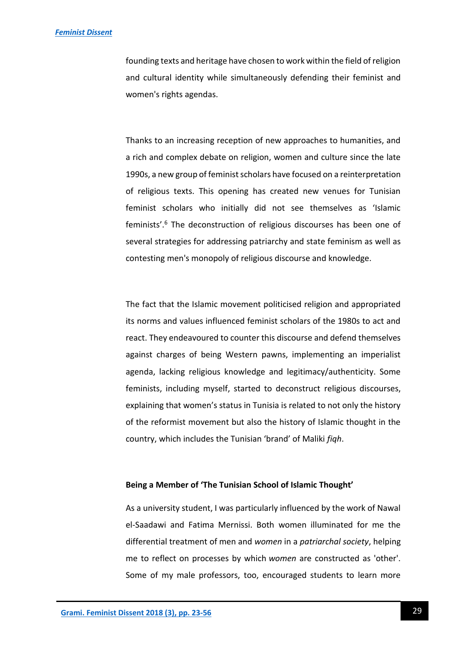### *[Feminist Dissent](https://journals.warwick.ac.uk/index.php/feministdissent/index)*

founding texts and heritage have chosen to work within the field of religion and cultural identity while simultaneously defending their feminist and women's rights agendas.

Thanks to an increasing reception of new approaches to humanities, and a rich and complex debate on religion, women and culture since the late 1990s, a new group of feminist scholars have focused on a reinterpretation of religious texts. This opening has created new venues for Tunisian feminist scholars who initially did not see themselves as 'Islamic feminists'.<sup>6</sup> The deconstruction of religious discourses has been one of several strategies for addressing patriarchy and state feminism as well as contesting men's monopoly of religious discourse and knowledge.

The fact that the Islamic movement politicised religion and appropriated its norms and values influenced feminist scholars of the 1980s to act and react. They endeavoured to counter this discourse and defend themselves against charges of being Western pawns, implementing an imperialist agenda, lacking religious knowledge and legitimacy/authenticity. Some feminists, including myself, started to deconstruct religious discourses, explaining that women's status in Tunisia is related to not only the history of the reformist movement but also the history of Islamic thought in the country, which includes the Tunisian 'brand' of Maliki *fiqh*.

# **Being a Member of 'The Tunisian School of Islamic Thought'**

As a university student, I was particularly influenced by the work of Nawal el-Saadawi and Fatima Mernissi. Both women illuminated for me the differential treatment of men and *women* in a *patriarchal society*, helping me to reflect on processes by which *women* are constructed as 'other'. Some of my male professors, too, encouraged students to learn more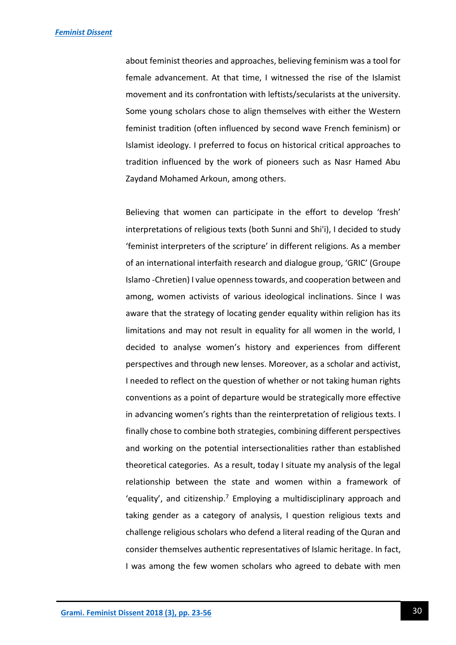about feminist theories and approaches, believing feminism was a tool for female advancement. At that time, I witnessed the rise of the Islamist movement and its confrontation with leftists/secularists at the university. Some young scholars chose to align themselves with either the Western feminist tradition (often influenced by second wave French feminism) or Islamist ideology. I preferred to focus on historical critical approaches to tradition influenced by the work of pioneers such as Nasr Hamed Abu Zaydand Mohamed Arkoun, among others.

Believing that women can participate in the effort to develop 'fresh' interpretations of religious texts (both Sunni and Shi'i), I decided to study 'feminist interpreters of the scripture' in different religions. As a member of an international interfaith research and dialogue group, 'GRIC' (Groupe Islamo -Chretien) I value openness towards, and cooperation between and among, women activists of various ideological inclinations. Since I was aware that the strategy of locating gender equality within religion has its limitations and may not result in equality for all women in the world, I decided to analyse women's history and experiences from different perspectives and through new lenses. Moreover, as a scholar and activist, I needed to reflect on the question of whether or not taking human rights conventions as a point of departure would be strategically more effective in advancing women's rights than the reinterpretation of religious texts. I finally chose to combine both strategies, combining different perspectives and working on the potential intersectionalities rather than established theoretical categories. As a result, today I situate my analysis of the legal relationship between the state and women within a framework of 'equality', and citizenship.<sup>7</sup> Employing a multidisciplinary approach and taking gender as a category of analysis, I question religious texts and challenge religious scholars who defend a literal reading of the Quran and consider themselves authentic representatives of Islamic heritage. In fact, I was among the few women scholars who agreed to debate with men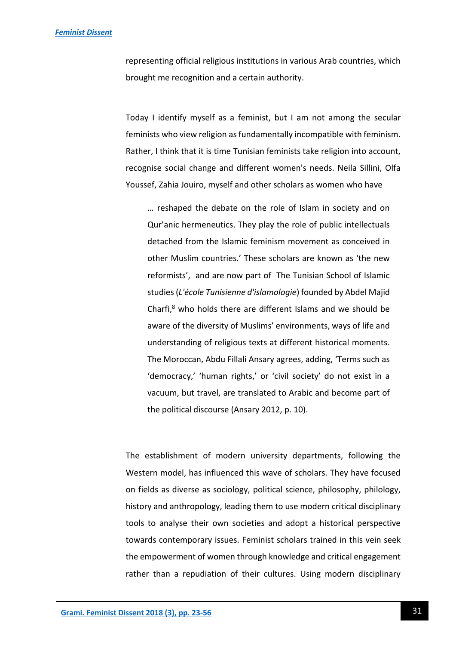### *[Feminist Dissent](https://journals.warwick.ac.uk/index.php/feministdissent/index)*

representing official religious institutions in various Arab countries, which brought me recognition and a certain authority.

Today I identify myself as a feminist, but I am not among the secular feminists who view religion as fundamentally incompatible with feminism. Rather, I think that it is time Tunisian feminists take religion into account, recognise social change and different women's needs. Neila Sillini, Olfa Youssef, Zahia Jouiro, myself and other scholars as women who have

… reshaped the debate on the role of Islam in society and on Qur'anic hermeneutics. They play the role of public intellectuals detached from the Islamic feminism movement as conceived in other Muslim countries.' These scholars are known as 'the new reformists', and are now part of The Tunisian School of Islamic studies (*L'école Tunisienne d'islamologie*) founded by Abdel Majid Charfi, $8$  who holds there are different Islams and we should be aware of the diversity of Muslims' environments, ways of life and understanding of religious texts at different historical moments. The Moroccan, Abdu Fillali Ansary agrees, adding, 'Terms such as 'democracy,' 'human rights,' or 'civil society' do not exist in a vacuum, but travel, are translated to Arabic and become part of the political discourse (Ansary 2012, p. 10).

The establishment of modern university departments, following the Western model, has influenced this wave of scholars. They have focused on fields as diverse as sociology, political science, philosophy, philology, history and anthropology, leading them to use modern critical disciplinary tools to analyse their own societies and adopt a historical perspective towards contemporary issues. Feminist scholars trained in this vein seek the empowerment of women through knowledge and critical engagement rather than a repudiation of their cultures. Using modern disciplinary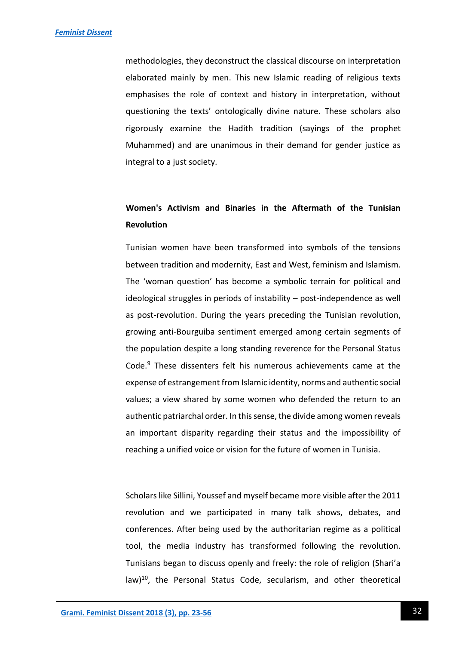methodologies, they deconstruct the classical discourse on interpretation elaborated mainly by men. This new Islamic reading of religious texts emphasises the role of context and history in interpretation, without questioning the texts' ontologically divine nature. These scholars also rigorously examine the Hadith tradition (sayings of the prophet Muhammed) and are unanimous in their demand for gender justice as integral to a just society.

# **Women's Activism and Binaries in the Aftermath of the Tunisian Revolution**

Tunisian women have been transformed into symbols of the tensions between tradition and modernity, East and West, feminism and Islamism. The 'woman question' has become a symbolic terrain for political and ideological struggles in periods of instability – post-independence as well as post-revolution. During the years preceding the Tunisian revolution, growing anti-Bourguiba sentiment emerged among certain segments of the population despite a long standing reverence for the Personal Status Code.<sup>9</sup> These dissenters felt his numerous achievements came at the expense of estrangement from Islamic identity, norms and authentic social values; a view shared by some women who defended the return to an authentic patriarchal order. In this sense, the divide among women reveals an important disparity regarding their status and the impossibility of reaching a unified voice or vision for the future of women in Tunisia.

Scholars like Sillini, Youssef and myself became more visible after the 2011 revolution and we participated in many talk shows, debates, and conferences. After being used by the authoritarian regime as a political tool, the media industry has transformed following the revolution. Tunisians began to discuss openly and freely: the role of religion (Shari'a  $\text{law}$ <sup>10</sup>, the Personal Status Code, secularism, and other theoretical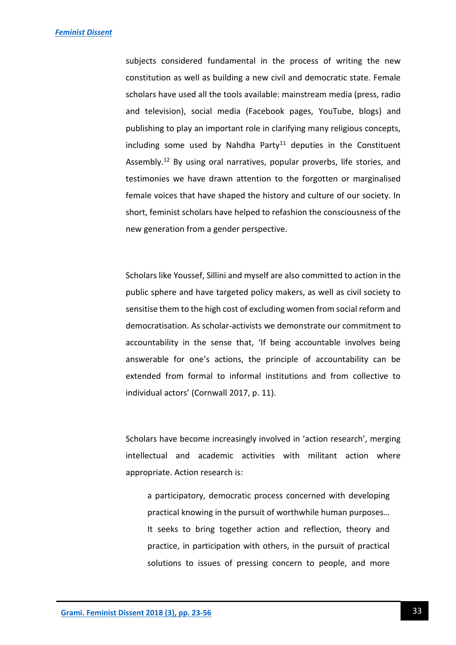subjects considered fundamental in the process of writing the new constitution as well as building a new civil and democratic state. Female scholars have used all the tools available: mainstream media (press, radio and television), social media (Facebook pages, YouTube, blogs) and publishing to play an important role in clarifying many religious concepts, including some used by Nahdha Party<sup>11</sup> deputies in the Constituent Assembly.<sup>12</sup> By using oral narratives, popular proverbs, life stories, and testimonies we have drawn attention to the forgotten or marginalised female voices that have shaped the history and culture of our society. In short, feminist scholars have helped to refashion the consciousness of the new generation from a gender perspective.

Scholars like Youssef, Sillini and myself are also committed to action in the public sphere and have targeted policy makers, as well as civil society to sensitise them to the high cost of excluding women from social reform and democratisation. As scholar-activists we demonstrate our commitment to accountability in the sense that, 'If being accountable involves being answerable for one's actions, the principle of accountability can be extended from formal to informal institutions and from collective to individual actors' (Cornwall 2017, p. 11).

Scholars have become increasingly involved in 'action research', merging intellectual and academic activities with militant action where appropriate. Action research is:

a participatory, democratic process concerned with developing practical knowing in the pursuit of worthwhile human purposes… It seeks to bring together action and reflection, theory and practice, in participation with others, in the pursuit of practical solutions to issues of pressing concern to people, and more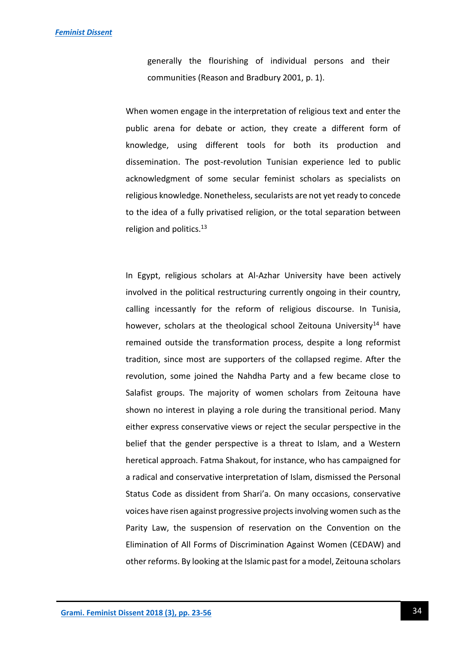generally the flourishing of individual persons and their communities (Reason and Bradbury 2001, p. 1).

When women engage in the interpretation of religious text and enter the public arena for debate or action, they create a different form of knowledge, using different tools for both its production and dissemination. The post-revolution Tunisian experience led to public acknowledgment of some secular feminist scholars as specialists on religious knowledge. Nonetheless, secularists are not yet ready to concede to the idea of a fully privatised religion, or the total separation between religion and politics.<sup>13</sup>

In Egypt, religious scholars at Al-Azhar University have been actively involved in the political restructuring currently ongoing in their country, calling incessantly for the reform of religious discourse. In Tunisia, however, scholars at the theological school Zeitouna University<sup>14</sup> have remained outside the transformation process, despite a long reformist tradition, since most are supporters of the collapsed regime. After the revolution, some joined the Nahdha Party and a few became close to Salafist groups. The majority of women scholars from Zeitouna have shown no interest in playing a role during the transitional period. Many either express conservative views or reject the secular perspective in the belief that the gender perspective is a threat to Islam, and a Western heretical approach. Fatma Shakout, for instance, who has campaigned for a radical and conservative interpretation of Islam, dismissed the Personal Status Code as dissident from Shari'a. On many occasions, conservative voices have risen against progressive projects involving women such as the Parity Law, the suspension of reservation on the Convention on the Elimination of All Forms of Discrimination Against Women (CEDAW) and other reforms. By looking at the Islamic past for a model, Zeitouna scholars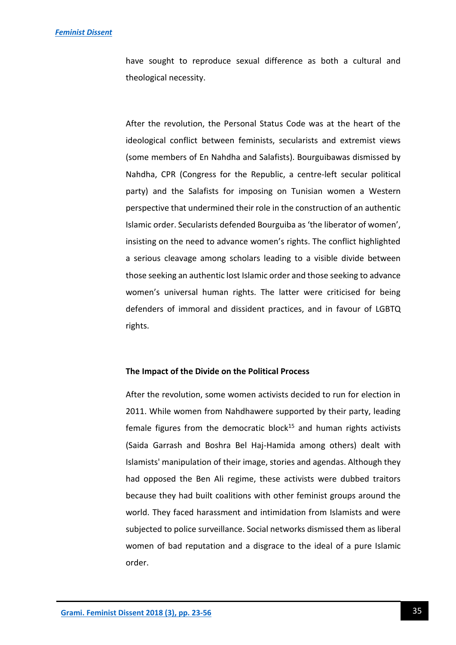have sought to reproduce sexual difference as both a cultural and theological necessity.

After the revolution, the Personal Status Code was at the heart of the ideological conflict between feminists, secularists and extremist views (some members of En Nahdha and Salafists). Bourguibawas dismissed by Nahdha, CPR (Congress for the Republic, a centre-left secular political party) and the Salafists for imposing on Tunisian women a Western perspective that undermined their role in the construction of an authentic Islamic order. Secularists defended Bourguiba as 'the liberator of women', insisting on the need to advance women's rights. The conflict highlighted a serious cleavage among scholars leading to a visible divide between those seeking an authentic lost Islamic order and those seeking to advance women's universal human rights. The latter were criticised for being defenders of immoral and dissident practices, and in favour of LGBTQ rights.

# **The Impact of the Divide on the Political Process**

After the revolution, some women activists decided to run for election in 2011. While women from Nahdhawere supported by their party, leading female figures from the democratic block<sup>15</sup> and human rights activists (Saida Garrash and Boshra Bel Haj-Hamida among others) dealt with Islamists' manipulation of their image, stories and agendas. Although they had opposed the Ben Ali regime, these activists were dubbed traitors because they had built coalitions with other feminist groups around the world. They faced harassment and intimidation from Islamists and were subjected to police surveillance. Social networks dismissed them as liberal women of bad reputation and a disgrace to the ideal of a pure Islamic order.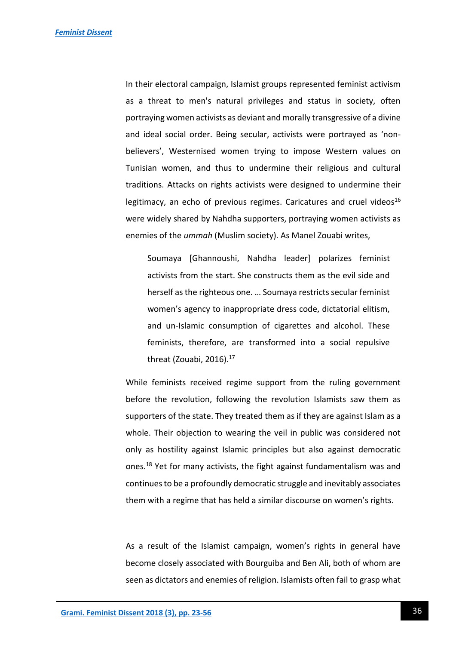In their electoral campaign, Islamist groups represented feminist activism as a threat to men's natural privileges and status in society, often portraying women activists as deviant and morally transgressive of a divine and ideal social order. Being secular, activists were portrayed as 'nonbelievers', Westernised women trying to impose Western values on Tunisian women, and thus to undermine their religious and cultural traditions. Attacks on rights activists were designed to undermine their legitimacy, an echo of previous regimes. Caricatures and cruel videos<sup>16</sup> were widely shared by Nahdha supporters, portraying women activists as enemies of the *ummah* (Muslim society). As Manel Zouabi writes,

Soumaya [Ghannoushi, Nahdha leader] polarizes feminist activists from the start. She constructs them as the evil side and herself as the righteous one. … Soumaya restricts secular feminist women's agency to inappropriate dress code, dictatorial elitism, and un-Islamic consumption of cigarettes and alcohol. These feminists, therefore, are transformed into a social repulsive threat (Zouabi, 2016).<sup>17</sup>

While feminists received regime support from the ruling government before the revolution, following the revolution Islamists saw them as supporters of the state. They treated them as if they are against Islam as a whole. Their objection to wearing the veil in public was considered not only as hostility against Islamic principles but also against democratic ones.<sup>18</sup> Yet for many activists, the fight against fundamentalism was and continues to be a profoundly democratic struggle and inevitably associates them with a regime that has held a similar discourse on women's rights.

As a result of the Islamist campaign, women's rights in general have become closely associated with Bourguiba and Ben Ali, both of whom are seen as dictators and enemies of religion. Islamists often fail to grasp what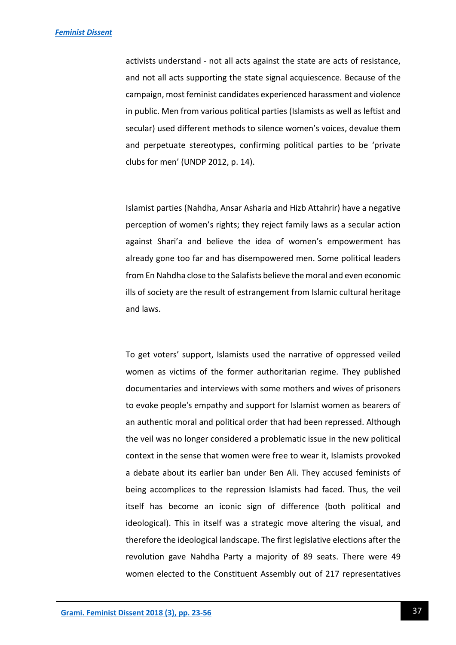activists understand - not all acts against the state are acts of resistance, and not all acts supporting the state signal acquiescence. Because of the campaign, most feminist candidates experienced harassment and violence in public. Men from various political parties (Islamists as well as leftist and secular) used different methods to silence women's voices, devalue them and perpetuate stereotypes, confirming political parties to be 'private clubs for men' (UNDP 2012, p. 14).

Islamist parties (Nahdha, Ansar Asharia and Hizb Attahrir) have a negative perception of women's rights; they reject family laws as a secular action against Shari'a and believe the idea of women's empowerment has already gone too far and has disempowered men. Some political leaders from En Nahdha close to the Salafists believe the moral and even economic ills of society are the result of estrangement from Islamic cultural heritage and laws.

To get voters' support, Islamists used the narrative of oppressed veiled women as victims of the former authoritarian regime. They published documentaries and interviews with some mothers and wives of prisoners to evoke people's empathy and support for Islamist women as bearers of an authentic moral and political order that had been repressed. Although the veil was no longer considered a problematic issue in the new political context in the sense that women were free to wear it, Islamists provoked a debate about its earlier ban under Ben Ali. They accused feminists of being accomplices to the repression Islamists had faced. Thus, the veil itself has become an iconic sign of difference (both political and ideological). This in itself was a strategic move altering the visual, and therefore the ideological landscape. The first legislative elections after the revolution gave Nahdha Party a majority of 89 seats. There were 49 women elected to the Constituent Assembly out of 217 representatives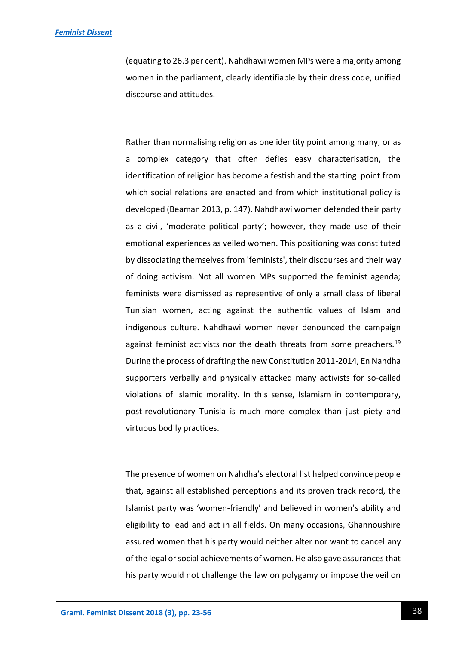### *[Feminist Dissent](https://journals.warwick.ac.uk/index.php/feministdissent/index)*

(equating to 26.3 per cent). Nahdhawi women MPs were a majority among women in the parliament, clearly identifiable by their dress code, unified discourse and attitudes.

Rather than normalising religion as one identity point among many, or as a complex category that often defies easy characterisation, the identification of religion has become a festish and the starting point from which social relations are enacted and from which institutional policy is developed (Beaman 2013, p. 147). Nahdhawi women defended their party as a civil, 'moderate political party'; however, they made use of their emotional experiences as veiled women. This positioning was constituted by dissociating themselves from 'feminists', their discourses and their way of doing activism. Not all women MPs supported the feminist agenda; feminists were dismissed as representive of only a small class of liberal Tunisian women, acting against the authentic values of Islam and indigenous culture. Nahdhawi women never denounced the campaign against feminist activists nor the death threats from some preachers.<sup>19</sup> During the process of drafting the new Constitution 2011-2014, En Nahdha supporters verbally and physically attacked many activists for so-called violations of Islamic morality. In this sense, Islamism in contemporary, post-revolutionary Tunisia is much more complex than just piety and virtuous bodily practices.

The presence of women on Nahdha's electoral list helped convince people that, against all established perceptions and its proven track record, the Islamist party was 'women-friendly' and believed in women's ability and eligibility to lead and act in all fields. On many occasions, Ghannoushire assured women that his party would neither alter nor want to cancel any of the legal or social achievements of women. He also gave assurances that his party would not challenge the law on polygamy or impose the veil on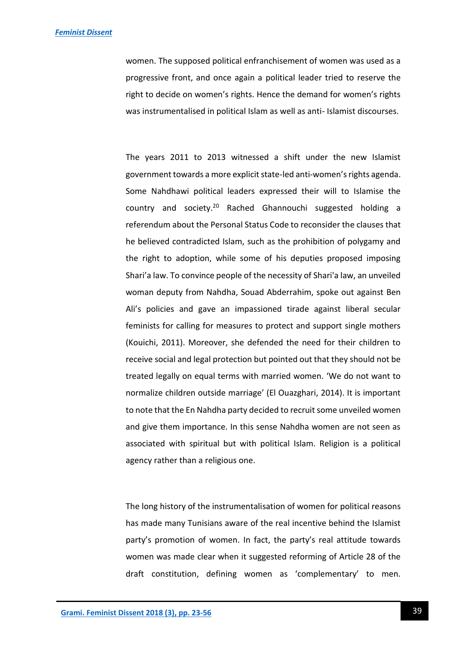women. The supposed political enfranchisement of women was used as a progressive front, and once again a political leader tried to reserve the right to decide on women's rights. Hence the demand for women's rights was instrumentalised in political Islam as well as anti- Islamist discourses.

The years 2011 to 2013 witnessed a shift under the new Islamist government towards a more explicit state-led anti-women's rights agenda. Some Nahdhawi political leaders expressed their will to Islamise the country and society.<sup>20</sup> Rached Ghannouchi suggested holding a referendum about the Personal Status Code to reconsider the clauses that he believed contradicted Islam, such as the prohibition of polygamy and the right to adoption, while some of his deputies proposed imposing Shari'a law. To convince people of the necessity of Shari'a law, an unveiled woman deputy from Nahdha, Souad Abderrahim, spoke out against Ben Ali's policies and gave an impassioned tirade against liberal secular feminists for calling for measures to protect and support single mothers (Kouichi, 2011). Moreover, she defended the need for their children to receive social and legal protection but pointed out that they should not be treated legally on equal terms with married women. 'We do not want to normalize children outside marriage' (El Ouazghari, 2014). It is important to note that the En Nahdha party decided to recruit some unveiled women and give them importance. In this sense Nahdha women are not seen as associated with spiritual but with political Islam. Religion is a political agency rather than a religious one.

The long history of the instrumentalisation of women for political reasons has made many Tunisians aware of the real incentive behind the Islamist party's promotion of women. In fact, the party's real attitude towards women was made clear when it suggested reforming of Article 28 of the draft constitution, defining women as 'complementary' to men.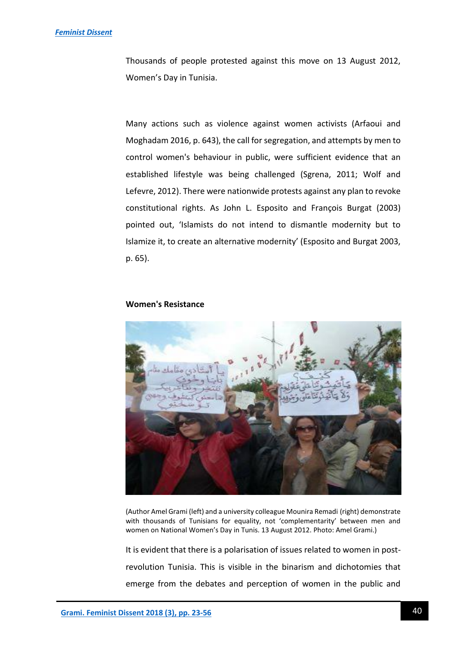Thousands of people protested against this move on 13 August 2012, Women's Day in Tunisia.

Many actions such as violence against women activists (Arfaoui and Moghadam 2016, p. 643), the call for segregation, and attempts by men to control women's behaviour in public, were sufficient evidence that an established lifestyle was being challenged (Sgrena, 2011; Wolf and Lefevre, 2012). There were nationwide protests against any plan to revoke constitutional rights. As John L. Esposito and François Burgat (2003) pointed out, 'Islamists do not intend to dismantle modernity but to Islamize it, to create an alternative modernity' (Esposito and Burgat 2003, p. 65).

#### **Women's Resistance**



(Author Amel Grami (left) and a university colleague Mounira Remadi (right) demonstrate with thousands of Tunisians for equality, not 'complementarity' between men and women on National Women's Day in Tunis. 13 August 2012. Photo: Amel Grami.)

It is evident that there is a polarisation of issues related to women in postrevolution Tunisia. This is visible in the binarism and dichotomies that emerge from the debates and perception of women in the public and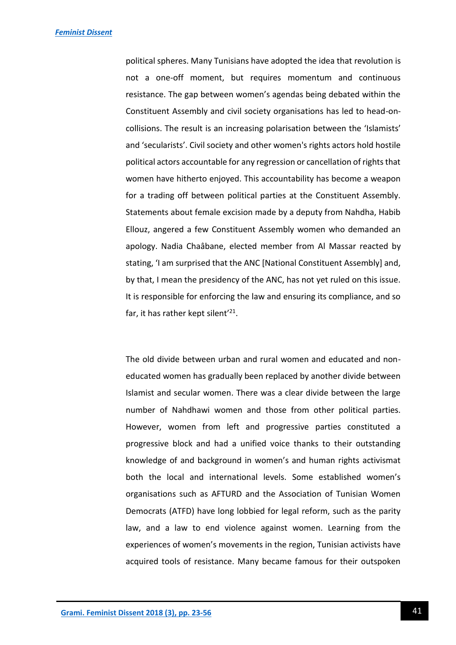political spheres. Many Tunisians have adopted the idea that revolution is not a one-off moment, but requires momentum and continuous resistance. The gap between women's agendas being debated within the Constituent Assembly and civil society organisations has led to head-oncollisions. The result is an increasing polarisation between the 'Islamists' and 'secularists'. Civil society and other women's rights actors hold hostile political actors accountable for any regression or cancellation of rights that women have hitherto enjoyed. This accountability has become a weapon for a trading off between political parties at the Constituent Assembly. Statements about female excision made by a deputy from Nahdha, Habib Ellouz, angered a few Constituent Assembly women who demanded an apology. Nadia Chaâbane, elected member from Al Massar reacted by stating, 'I am surprised that the ANC [National Constituent Assembly] and, by that, I mean the presidency of the ANC, has not yet ruled on this issue. It is responsible for enforcing the law and ensuring its compliance, and so far, it has rather kept silent'<sup>21</sup>.

The old divide between urban and rural women and educated and noneducated women has gradually been replaced by another divide between Islamist and secular women. There was a clear divide between the large number of Nahdhawi women and those from other political parties. However, women from left and progressive parties constituted a progressive block and had a unified voice thanks to their outstanding knowledge of and background in women's and human rights activismat both the local and international levels. Some established women's organisations such as AFTURD and the Association of Tunisian Women Democrats (ATFD) have long lobbied for legal reform, such as the parity law, and a law to end violence against women. Learning from the experiences of women's movements in the region, Tunisian activists have acquired tools of resistance. Many became famous for their outspoken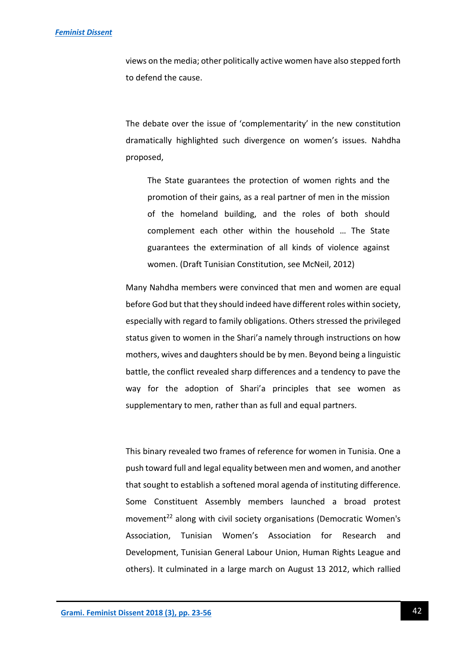### *[Feminist Dissent](https://journals.warwick.ac.uk/index.php/feministdissent/index)*

views on the media; other politically active women have also stepped forth to defend the cause.

The debate over the issue of 'complementarity' in the new constitution dramatically highlighted such divergence on women's issues. Nahdha proposed,

The State guarantees the protection of women rights and the promotion of their gains, as a real partner of men in the mission of the homeland building, and the roles of both should complement each other within the household … The State guarantees the extermination of all kinds of violence against women. (Draft Tunisian Constitution, see McNeil, 2012)

Many Nahdha members were convinced that men and women are equal before God but that they should indeed have different roles within society, especially with regard to family obligations. Others stressed the privileged status given to women in the Shari'a namely through instructions on how mothers, wives and daughters should be by men. Beyond being a linguistic battle, the conflict revealed sharp differences and a tendency to pave the way for the adoption of Shari'a principles that see women as supplementary to men, rather than as full and equal partners.

This binary revealed two frames of reference for women in Tunisia. One a push toward full and legal equality between men and women, and another that sought to establish a softened moral agenda of instituting difference. Some Constituent Assembly members launched a broad protest movement<sup>22</sup> along with civil society organisations (Democratic Women's Association, Tunisian Women's Association for Research and Development, Tunisian General Labour Union, Human Rights League and others). It culminated in a large march on August 13 2012, which rallied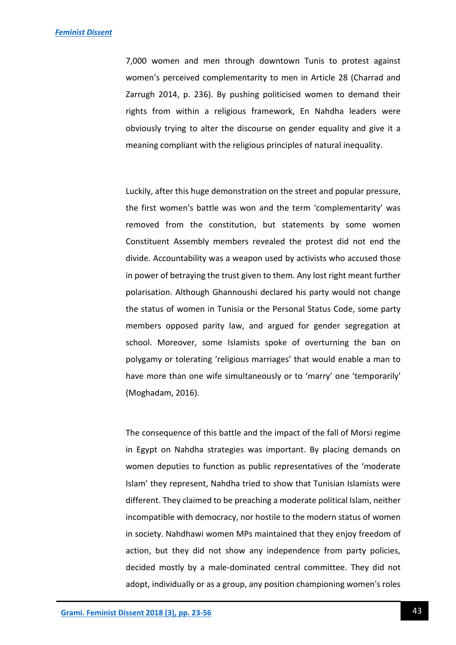7,000 women and men through downtown Tunis to protest against women's perceived complementarity to men in Article 28 (Charrad and Zarrugh 2014, p. 236). By pushing politicised women to demand their rights from within a religious framework, En Nahdha leaders were obviously trying to alter the discourse on gender equality and give it a meaning compliant with the religious principles of natural inequality.

Luckily, after this huge demonstration on the street and popular pressure, the first women's battle was won and the term 'complementarity' was removed from the constitution, but statements by some women Constituent Assembly members revealed the protest did not end the divide. Accountability was a weapon used by activists who accused those in power of betraying the trust given to them. Any lost right meant further polarisation. Although Ghannoushi declared his party would not change the status of women in Tunisia or the Personal Status Code, some party members opposed parity law, and argued for gender segregation at school. Moreover, some Islamists spoke of overturning the ban on polygamy or tolerating 'religious marriages' that would enable a man to have more than one wife simultaneously or to 'marry' one 'temporarily' (Moghadam, 2016).

The consequence of this battle and the impact of the fall of Morsi regime in Egypt on Nahdha strategies was important. By placing demands on women deputies to function as public representatives of the 'moderate Islam' they represent, Nahdha tried to show that Tunisian Islamists were different. They claimed to be preaching a moderate political Islam, neither incompatible with democracy, nor hostile to the modern status of women in society. Nahdhawi women MPs maintained that they enjoy freedom of action, but they did not show any independence from party policies, decided mostly by a male-dominated central committee. They did not adopt, individually or as a group, any position championing women's roles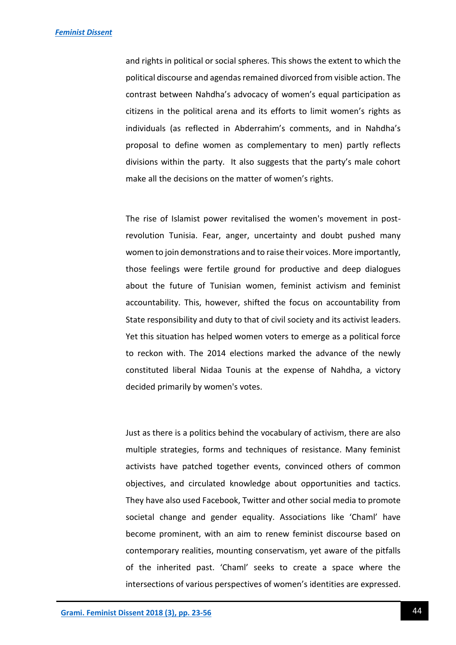and rights in political or social spheres. This shows the extent to which the political discourse and agendas remained divorced from visible action. The contrast between Nahdha's advocacy of women's equal participation as citizens in the political arena and its efforts to limit women's rights as individuals (as reflected in Abderrahim's comments, and in Nahdha's proposal to define women as complementary to men) partly reflects divisions within the party. It also suggests that the party's male cohort make all the decisions on the matter of women's rights.

The rise of Islamist power revitalised the women's movement in postrevolution Tunisia. Fear, anger, uncertainty and doubt pushed many women to join demonstrations and to raise their voices. More importantly, those feelings were fertile ground for productive and deep dialogues about the future of Tunisian women, feminist activism and feminist accountability. This, however, shifted the focus on accountability from State responsibility and duty to that of civil society and its activist leaders. Yet this situation has helped women voters to emerge as a political force to reckon with. The 2014 elections marked the advance of the newly constituted liberal Nidaa Tounis at the expense of Nahdha, a victory decided primarily by women's votes.

Just as there is a politics behind the vocabulary of activism, there are also multiple strategies, forms and techniques of resistance. Many feminist activists have patched together events, convinced others of common objectives, and circulated knowledge about opportunities and tactics. They have also used Facebook, Twitter and other social media to promote societal change and gender equality. Associations like 'Chaml' have become prominent, with an aim to renew feminist discourse based on contemporary realities, mounting conservatism, yet aware of the pitfalls of the inherited past. 'Chaml' seeks to create a space where the intersections of various perspectives of women's identities are expressed.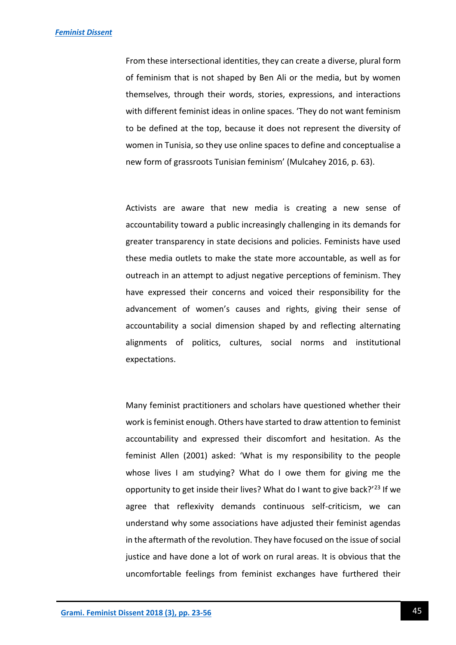From these intersectional identities, they can create a diverse, plural form of feminism that is not shaped by Ben Ali or the media, but by women themselves, through their words, stories, expressions, and interactions with different feminist ideas in online spaces. 'They do not want feminism to be defined at the top, because it does not represent the diversity of women in Tunisia, so they use online spaces to define and conceptualise a new form of grassroots Tunisian feminism' (Mulcahey 2016, p. 63).

Activists are aware that new media is creating a new sense of accountability toward a public increasingly challenging in its demands for greater transparency in state decisions and policies. Feminists have used these media outlets to make the state more accountable, as well as for outreach in an attempt to adjust negative perceptions of feminism. They have expressed their concerns and voiced their responsibility for the advancement of women's causes and rights, giving their sense of accountability a social dimension shaped by and reflecting alternating alignments of politics, cultures, social norms and institutional expectations.

Many feminist practitioners and scholars have questioned whether their work is feminist enough. Others have started to draw attention to feminist accountability and expressed their discomfort and hesitation. As the feminist Allen (2001) asked: 'What is my responsibility to the people whose lives I am studying? What do I owe them for giving me the opportunity to get inside their lives? What do I want to give back?'<sup>23</sup> If we agree that reflexivity demands continuous self-criticism, we can understand why some associations have adjusted their feminist agendas in the aftermath of the revolution. They have focused on the issue of social justice and have done a lot of work on rural areas. It is obvious that the uncomfortable feelings from feminist exchanges have furthered their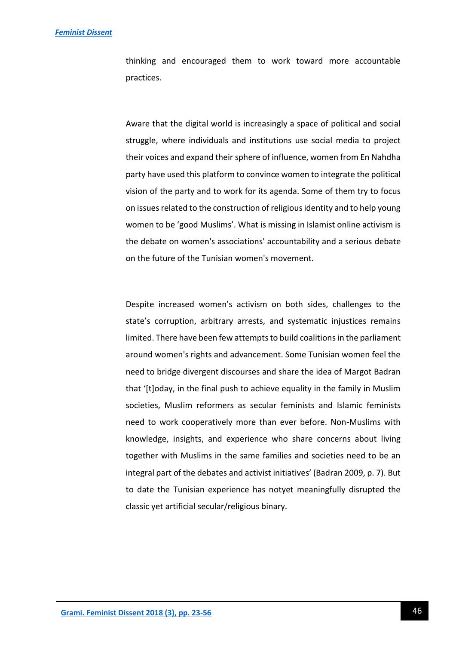thinking and encouraged them to work toward more accountable practices.

Aware that the digital world is increasingly a space of political and social struggle, where individuals and institutions use social media to project their voices and expand their sphere of influence, women from En Nahdha party have used this platform to convince women to integrate the political vision of the party and to work for its agenda. Some of them try to focus on issues related to the construction of religious identity and to help young women to be 'good Muslims'. What is missing in Islamist online activism is the debate on women's associations' accountability and a serious debate on the future of the Tunisian women's movement.

Despite increased women's activism on both sides, challenges to the state's corruption, arbitrary arrests, and systematic injustices remains limited. There have been few attempts to build coalitions in the parliament around women's rights and advancement. Some Tunisian women feel the need to bridge divergent discourses and share the idea of Margot Badran that '[t]oday, in the final push to achieve equality in the family in Muslim societies, Muslim reformers as secular feminists and Islamic feminists need to work cooperatively more than ever before. Non-Muslims with knowledge, insights, and experience who share concerns about living together with Muslims in the same families and societies need to be an integral part of the debates and activist initiatives' (Badran 2009, p. 7). But to date the Tunisian experience has notyet meaningfully disrupted the classic yet artificial secular/religious binary.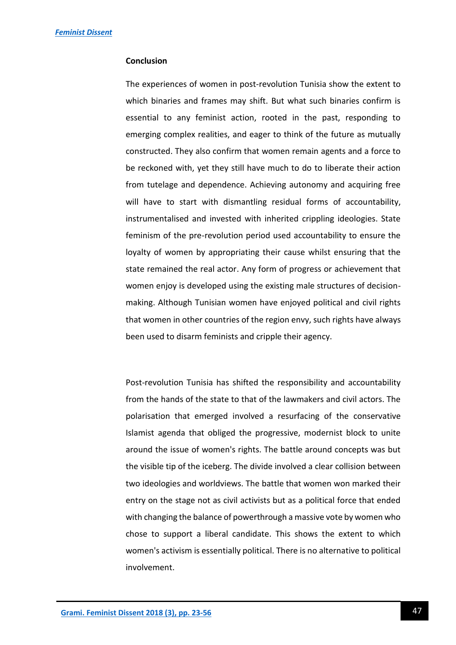# **Conclusion**

The experiences of women in post-revolution Tunisia show the extent to which binaries and frames may shift. But what such binaries confirm is essential to any feminist action, rooted in the past, responding to emerging complex realities, and eager to think of the future as mutually constructed. They also confirm that women remain agents and a force to be reckoned with, yet they still have much to do to liberate their action from tutelage and dependence. Achieving autonomy and acquiring free will have to start with dismantling residual forms of accountability, instrumentalised and invested with inherited crippling ideologies. State feminism of the pre-revolution period used accountability to ensure the loyalty of women by appropriating their cause whilst ensuring that the state remained the real actor. Any form of progress or achievement that women enjoy is developed using the existing male structures of decisionmaking. Although Tunisian women have enjoyed political and civil rights that women in other countries of the region envy, such rights have always been used to disarm feminists and cripple their agency.

Post-revolution Tunisia has shifted the responsibility and accountability from the hands of the state to that of the lawmakers and civil actors. The polarisation that emerged involved a resurfacing of the conservative Islamist agenda that obliged the progressive, modernist block to unite around the issue of women's rights. The battle around concepts was but the visible tip of the iceberg. The divide involved a clear collision between two ideologies and worldviews. The battle that women won marked their entry on the stage not as civil activists but as a political force that ended with changing the balance of powerthrough a massive vote by women who chose to support a liberal candidate. This shows the extent to which women's activism is essentially political. There is no alternative to political involvement.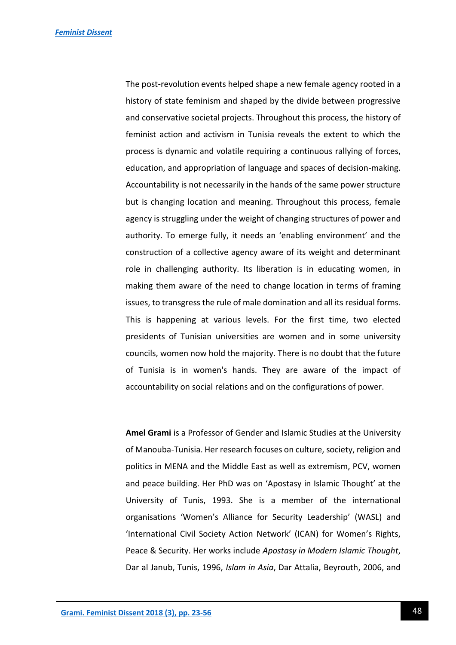The post-revolution events helped shape a new female agency rooted in a history of state feminism and shaped by the divide between progressive and conservative societal projects. Throughout this process, the history of feminist action and activism in Tunisia reveals the extent to which the process is dynamic and volatile requiring a continuous rallying of forces, education, and appropriation of language and spaces of decision-making. Accountability is not necessarily in the hands of the same power structure but is changing location and meaning. Throughout this process, female agency is struggling under the weight of changing structures of power and authority. To emerge fully, it needs an 'enabling environment' and the construction of a collective agency aware of its weight and determinant role in challenging authority. Its liberation is in educating women, in making them aware of the need to change location in terms of framing issues, to transgress the rule of male domination and all its residual forms. This is happening at various levels. For the first time, two elected presidents of Tunisian universities are women and in some university councils, women now hold the majority. There is no doubt that the future of Tunisia is in women's hands. They are aware of the impact of accountability on social relations and on the configurations of power.

**Amel Grami** is a Professor of Gender and Islamic Studies at the University of Manouba-Tunisia. Her research focuses on culture, society, religion and politics in MENA and the Middle East as well as extremism, PCV, women and peace building. Her PhD was on 'Apostasy in Islamic Thought' at the University of Tunis, 1993. She is a member of the international organisations 'Women's Alliance for Security Leadership' (WASL) and 'International Civil Society Action Network' (ICAN) for Women's Rights, Peace & Security. Her works include *Apostasy in Modern Islamic Thought*, Dar al Janub, Tunis, 1996, *Islam in Asia*, Dar Attalia, Beyrouth, 2006, and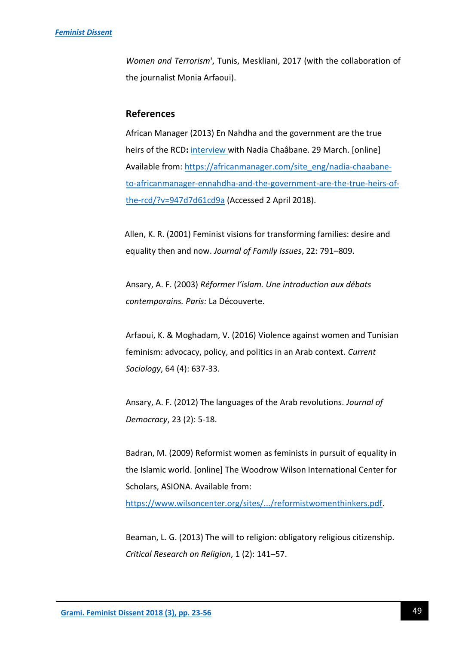*Women and Terrorism*', Tunis, Meskliani, 2017 (with the collaboration of the journalist Monia Arfaoui).

# **References**

African Manager (2013) En Nahdha and the government are the true heirs of the RCD**:** [interview](file:///C:/Users/JTCHAICHA/AppData/Local/Microsoft/Windows/Temporary%20Internet%20Files/Content.IE5/RK2CV7NJ/interview) with Nadia Chaâbane. 29 March. [online] Available from: [https://africanmanager.com/site\\_eng/nadia-chaabane](https://africanmanager.com/site_eng/nadia-chaabane-to-africanmanager-ennahdha-and-the-government-are-the-true-heirs-of-the-rcd/?v=947d7d61cd9a)[to-africanmanager-ennahdha-and-the-government-are-the-true-heirs-of](https://africanmanager.com/site_eng/nadia-chaabane-to-africanmanager-ennahdha-and-the-government-are-the-true-heirs-of-the-rcd/?v=947d7d61cd9a)[the-rcd/?v=947d7d61cd9a](https://africanmanager.com/site_eng/nadia-chaabane-to-africanmanager-ennahdha-and-the-government-are-the-true-heirs-of-the-rcd/?v=947d7d61cd9a) (Accessed 2 April 2018).

Allen, K. R. (2001) Feminist visions for transforming families: desire and equality then and now. *Journal of Family Issues*, 22: 791–809.

Ansary, A. F. (2003) *Réformer l'islam. Une introduction aux débats contemporains. Paris:* La Découverte.

Arfaoui, K. & Moghadam, V. (2016) Violence against women and Tunisian feminism: advocacy, policy, and politics in an Arab context. *Current Sociology*, 64 (4): 637-33.

Ansary, A. F. (2012) The languages of the Arab revolutions. *Journal of Democracy*, 23 (2): 5-18.

Badran, M. (2009) Reformist women as feminists in pursuit of equality in the Islamic world. [online] The Woodrow Wilson International Center for Scholars, ASIONA. Available from:

[https://www.wilsoncenter.org/sites/.../reformistwomenthinkers.pdf.](https://www.wilsoncenter.org/sites/.../reformistwomenthinkers.pdf)

Beaman, L. G. (2013) The will to religion: obligatory religious citizenship. *Critical Research on Religion*, 1 (2): 141–57.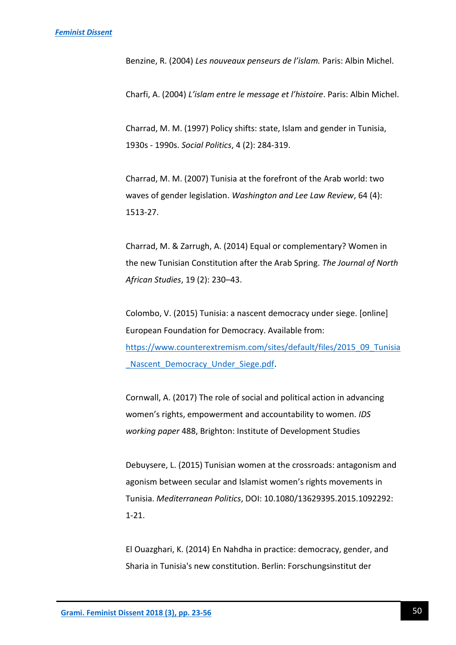Benzine, R. (2004) *Les nouveaux penseurs de l'islam.* Paris: Albin Michel.

Charfi, A. (2004) *L'islam entre le message et l'histoire*. Paris: Albin Michel.

Charrad, M. M. (1997) Policy shifts: state, Islam and gender in Tunisia, 1930s - 1990s. *Social Politics*, 4 (2): 284-319.

Charrad, M. M. (2007) Tunisia at the forefront of the Arab world: two waves of gender legislation. *Washington and Lee Law Review*, 64 (4): 1513-27.

Charrad, M. & Zarrugh, A. (2014) Equal or complementary? Women in the new Tunisian Constitution after the Arab Spring. *The Journal of North African Studies*, 19 (2): 230–43.

Colombo, V. (2015) Tunisia: a nascent democracy under siege. [online] European Foundation for Democracy. Available from: [https://www.counterextremism.com/sites/default/files/2015\\_09\\_Tunisia](https://www.counterextremism.com/sites/default/files/2015_09_Tunisia_Nascent_Democracy_Under_Siege.pdf) Nascent Democracy Under Siege.pdf.

Cornwall, A. (2017) The role of social and political action in advancing women's rights, empowerment and accountability to women. *IDS working paper* 488, Brighton: Institute of Development Studies

Debuysere, L. (2015) Tunisian women at the crossroads: antagonism and agonism between secular and Islamist women's rights movements in Tunisia. *Mediterranean Politics*, DOI: 10.1080/13629395.2015.1092292: 1-21.

El Ouazghari, K. (2014) En Nahdha in practice: democracy, gender, and Sharia in Tunisia's new constitution. Berlin: Forschungsinstitut der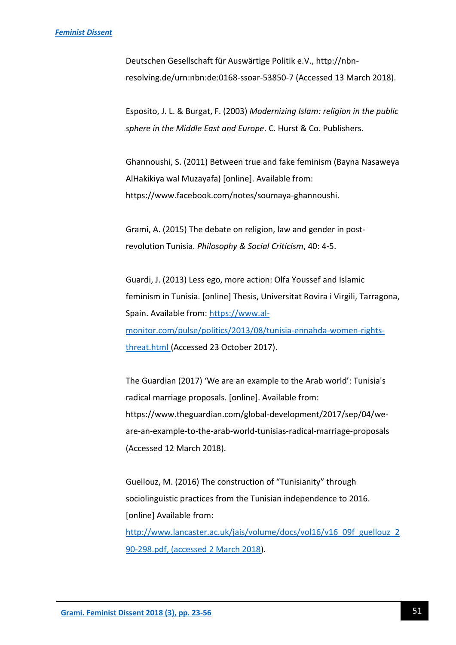Deutschen Gesellschaft für Auswärtige Politik e.V., http://nbnresolving.de/urn:nbn:de:0168-ssoar-53850-7 (Accessed 13 March 2018).

Esposito, J. L. & Burgat, F. (2003) *Modernizing Islam: religion in the public sphere in the Middle East and Europe*. C. Hurst & Co. Publishers.

Ghannoushi, S. (2011) Between true and fake feminism (Bayna Nasaweya AlHakikiya wal Muzayafa) [online]. Available from: https://www.facebook.com/notes/soumaya-ghannoushi.

Grami, A. (2015) The debate on religion, law and gender in postrevolution Tunisia. *Philosophy & Social Criticism*, 40: 4-5.

Guardi, J. (2013) Less ego, more action: Olfa Youssef and Islamic feminism in Tunisia. [online] Thesis, Universitat Rovira i Virgili, Tarragona, Spain. Available from: [https://www.al](https://www.al-monitor.com/pulse/politics/2013/08/tunisia-ennahda-women-rights-threat.html)[monitor.com/pulse/politics/2013/08/tunisia-ennahda-women-rights](https://www.al-monitor.com/pulse/politics/2013/08/tunisia-ennahda-women-rights-threat.html)[threat.html](https://www.al-monitor.com/pulse/politics/2013/08/tunisia-ennahda-women-rights-threat.html) (Accessed 23 October 2017).

The Guardian (2017) 'We are an example to the Arab world': Tunisia's radical marriage proposals. [online]. Available from: https://www.theguardian.com/global-development/2017/sep/04/weare-an-example-to-the-arab-world-tunisias-radical-marriage-proposals (Accessed 12 March 2018).

Guellouz, M. (2016) The construction of "Tunisianity" through sociolinguistic practices from the Tunisian independence to 2016. [online] Available from:

[http://www.lancaster.ac.uk/jais/volume/docs/vol16/v16\\_09f\\_guellouz\\_2](http://www.lancaster.ac.uk/jais/volume/docs/vol16/v16_09f_guellouz_290-298.pdf,%20(accessed%202%20March%202018) [90-298.pdf, \(accessed 2 March 2018\)](http://www.lancaster.ac.uk/jais/volume/docs/vol16/v16_09f_guellouz_290-298.pdf,%20(accessed%202%20March%202018).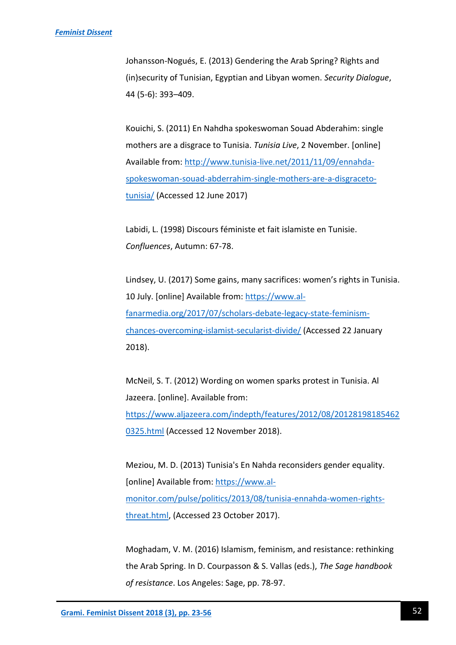Johansson-Nogués, E. (2013) Gendering the Arab Spring? Rights and (in)security of Tunisian, Egyptian and Libyan women. *Security Dialogue*, 44 (5-6): 393–409.

Kouichi, S. (2011) En Nahdha spokeswoman Souad Abderahim: single mothers are a disgrace to Tunisia. *Tunisia Live*, 2 November. [online] Available from: [http://www.tunisia-live.net/2011/11/09/ennahda](http://www.tunisia-live.net/2011/11/09/ennahda-spokeswoman-souad-abderrahim-single-mothers-are-a-disgraceto-tunisia/)[spokeswoman-souad-abderrahim-single-mothers-are-a-disgraceto](http://www.tunisia-live.net/2011/11/09/ennahda-spokeswoman-souad-abderrahim-single-mothers-are-a-disgraceto-tunisia/)[tunisia/](http://www.tunisia-live.net/2011/11/09/ennahda-spokeswoman-souad-abderrahim-single-mothers-are-a-disgraceto-tunisia/) (Accessed 12 June 2017)

Labidi, L. (1998) Discours féministe et fait islamiste en Tunisie. *Confluences*, Autumn: 67-78.

Lindsey, U. (2017) Some gains, many sacrifices: women's rights in Tunisia. 10 July. [online] Available from: [https://www.al](https://www.al-fanarmedia.org/2017/07/scholars-debate-legacy-state-feminism-chances-overcoming-islamist-secularist-divide/)[fanarmedia.org/2017/07/scholars-debate-legacy-state-feminism](https://www.al-fanarmedia.org/2017/07/scholars-debate-legacy-state-feminism-chances-overcoming-islamist-secularist-divide/)[chances-overcoming-islamist-secularist-divide/](https://www.al-fanarmedia.org/2017/07/scholars-debate-legacy-state-feminism-chances-overcoming-islamist-secularist-divide/) (Accessed 22 January 2018).

McNeil, S. T. (2012) Wording on women sparks protest in Tunisia. Al Jazeera. [online]. Available from: [https://www.aljazeera.com/indepth/features/2012/08/20128198185462](https://www.aljazeera.com/indepth/features/2012/08/201281981854620325.html) [0325.html](https://www.aljazeera.com/indepth/features/2012/08/201281981854620325.html) (Accessed 12 November 2018).

Meziou, M. D. (2013) Tunisia's En Nahda reconsiders gender equality. [online] Available from: [https://www.al](https://www.al-monitor.com/pulse/politics/2013/08/tunisia-ennahda-women-rights-threat.html)[monitor.com/pulse/politics/2013/08/tunisia-ennahda-women-rights](https://www.al-monitor.com/pulse/politics/2013/08/tunisia-ennahda-women-rights-threat.html)[threat.html,](https://www.al-monitor.com/pulse/politics/2013/08/tunisia-ennahda-women-rights-threat.html) (Accessed 23 October 2017).

Moghadam, V. M. (2016) Islamism, feminism, and resistance: rethinking the Arab Spring. In D. Courpasson & S. Vallas (eds.), *The Sage handbook of resistance*. Los Angeles: Sage, pp. 78-97.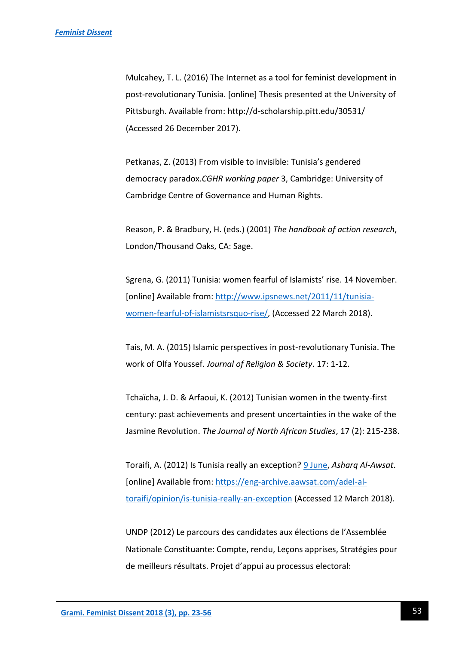Mulcahey, T. L. (2016) The Internet as a tool for feminist development in post-revolutionary Tunisia. [online] Thesis presented at the University of Pittsburgh. Available from: http://d-scholarship.pitt.edu/30531/ (Accessed 26 December 2017).

Petkanas, Z. (2013) From visible to invisible: Tunisia's gendered democracy paradox.*CGHR working paper* 3, Cambridge: University of Cambridge Centre of Governance and Human Rights.

Reason, P. & Bradbury, H. (eds.) (2001) *The handbook of action research*, London/Thousand Oaks, CA: Sage.

Sgrena, G. (2011) Tunisia: women fearful of Islamists' rise. 14 November. [online] Available from: [http://www.ipsnews.net/2011/11/tunisia](http://www.ipsnews.net/2011/11/tunisia-women-fearful-of-islamistsrsquo-rise/)[women-fearful-of-islamistsrsquo-rise/,](http://www.ipsnews.net/2011/11/tunisia-women-fearful-of-islamistsrsquo-rise/) (Accessed 22 March 2018).

Tais, M. A. (2015) Islamic perspectives in post-revolutionary Tunisia. The work of Olfa Youssef. *Journal of Religion & Society*. 17: 1-12.

Tchaïcha, J. D. & Arfaoui, K. (2012) Tunisian women in the twenty-first century: past achievements and present uncertainties in the wake of the Jasmine Revolution. *The Journal of North African Studies*, 17 (2): 215-238.

Toraifi, A. (2012) Is Tunisia really an exception? [9](https://eng-archive.aawsat.com/adel-al-toraifi/opinion/is-tunisia-really-an-exception) June, *Asharq Al-Awsat*. [online] Available from: [https://eng-archive.aawsat.com/adel-al](https://eng-archive.aawsat.com/adel-al-toraifi/opinion/is-tunisia-really-an-exception)[toraifi/opinion/is-tunisia-really-an-exception](https://eng-archive.aawsat.com/adel-al-toraifi/opinion/is-tunisia-really-an-exception) (Accessed 12 March 2018).

UNDP (2012) Le parcours des candidates aux élections de l'Assemblée Nationale Constituante: Compte, rendu, Leçons apprises, Stratégies pour de meilleurs résultats. Projet d'appui au processus electoral: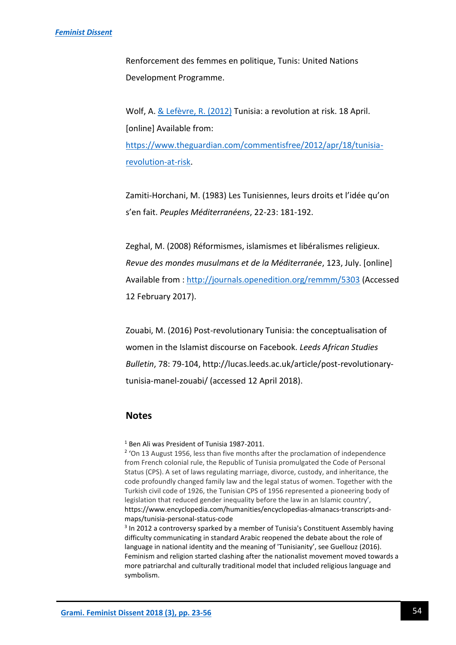Renforcement des femmes en politique, Tunis: United Nations Development Programme.

Wolf, A. [& Lefèvre,](https://www.theguardian.com/profile/rapha-l-lef-vre) R. (2012) Tunisia: a revolution at risk. 18 April. [online] Available from: [https://www.theguardian.com/commentisfree/2012/apr/18/tunisia](https://www.theguardian.com/commentisfree/2012/apr/18/tunisia-revolution-at-risk)[revolution-at-risk.](https://www.theguardian.com/commentisfree/2012/apr/18/tunisia-revolution-at-risk)

Zamiti-Horchani, M. (1983) Les Tunisiennes, leurs droits et l'idée qu'on s'en fait. *Peuples Méditerranéens*, 22-23: 181-192.

Zeghal, M. (2008) Réformismes, islamismes et libéralismes religieux. *Revue des mondes musulmans et de la Méditerranée*, 123, July. [online] Available from [: http://journals.openedition.org/remmm/5303](http://journals.openedition.org/remmm/5303) (Accessed 12 February 2017).

Zouabi, M. (2016) Post-revolutionary Tunisia: the conceptualisation of women in the Islamist discourse on Facebook. *Leeds African Studies Bulletin*, 78: 79-104, http://lucas.leeds.ac.uk/article/post-revolutionarytunisia-manel-zouabi/ (accessed 12 April 2018).

# **Notes**

<sup>1</sup> Ben Ali was President of Tunisia 1987-2011.

<sup>2</sup> 'On 13 August 1956, less than five months after the proclamation of independence from French colonial rule, the Republic of Tunisia promulgated the Code of Personal Status (CPS). A set of laws regulating marriage, divorce, custody, and inheritance, the code profoundly changed family law and the legal status of women. Together with the Turkish civil code of 1926, the Tunisian CPS of 1956 represented a pioneering body of legislation that reduced gender inequality before the law in an Islamic country', https://www.encyclopedia.com/humanities/encyclopedias-almanacs-transcripts-andmaps/tunisia-personal-status-code

<sup>3</sup> In 2012 a controversy sparked by a member of Tunisia's Constituent Assembly having difficulty communicating in standard Arabic reopened the debate about the role of language in national identity and the meaning of 'Tunisianity', see Guellouz (2016). Feminism and religion started clashing after the nationalist movement moved towards a more patriarchal and culturally traditional model that included religious language and symbolism.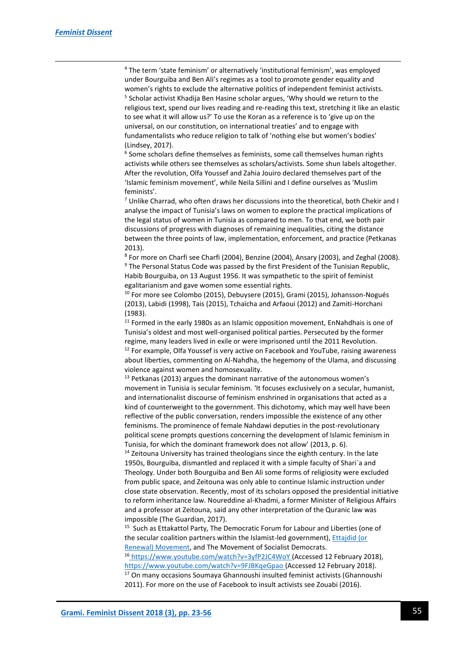1

<sup>4</sup> The term 'state feminism' or alternatively 'institutional feminism', was employed under Bourguiba and Ben Ali's regimes as a tool to promote gender equality and women's rights to exclude the alternative politics of independent feminist activists. 5 Scholar activist Khadija Ben Hasine scholar argues, 'Why should we return to the religious text, spend our lives reading and re-reading this text, stretching it like an elastic to see what it will allow us?' To use the Koran as a reference is to 'give up on the universal, on our constitution, on international treaties' and to engage with fundamentalists who reduce religion to talk of 'nothing else but women's bodies' (Lindsey, 2017).

<sup>6</sup> Some scholars define themselves as feminists, some call themselves human rights activists while others see themselves as scholars/activists. Some shun labels altogether. After the revolution, Olfa Youssef and Zahia Jouiro declared themselves part of the 'Islamic feminism movement', while Neila Sillini and I define ourselves as 'Muslim feminists'.

 $7$  Unlike Charrad, who often draws her discussions into the theoretical, both Chekir and I analyse the impact of Tunisia's laws on women to explore the practical implications of the legal status of women in Tunisia as compared to men. To that end, we both pair discussions of progress with diagnoses of remaining inequalities, citing the distance between the three points of law, implementation, enforcement, and practice (Petkanas 2013).

8 For more on Charfi see Charfi (2004), Benzine (2004), Ansary (2003), and Zeghal (2008). <sup>9</sup> The Personal Status Code was passed by the first President of the Tunisian Republic, Habib Bourguiba, on 13 August 1956. It was sympathetic to the spirit of feminist egalitarianism and gave women some essential rights.

 $10$  For more see Colombo (2015), Debuysere (2015), Grami (2015), Johansson-Nogués (2013), Labidi (1998), Tais (2015), Tchaïcha and Arfaoui (2012) and Zamiti-Horchani (1983).

 $11$  Formed in the early 1980s as an Islamic opposition movement, EnNahdhais is one of Tunisia's oldest and most well-organised political parties. Persecuted by the former regime, many leaders lived in exile or were imprisoned until the 2011 Revolution.  $12$  For example, Olfa Youssef is very active on Facebook and YouTube, raising awareness about liberties, commenting on Al-Nahdha, the hegemony of the Ulama, and discussing violence against women and homosexuality.

 $13$  Petkanas (2013) argues the dominant narrative of the autonomous women's movement in Tunisia is secular feminism. 'It focuses exclusively on a secular, humanist, and internationalist discourse of feminism enshrined in organisations that acted as a kind of counterweight to the government. This dichotomy, which may well have been reflective of the public conversation, renders impossible the existence of any other feminisms. The prominence of female Nahdawi deputies in the post-revolutionary political scene prompts questions concerning the development of Islamic feminism in Tunisia, for which the dominant framework does not allow' (2013, p. 6).

 $14$  Zeitouna University has trained theologians since the eighth century. In the late 1950s, Bourguiba, dismantled and replaced it with a simple faculty of Shari`a and Theology. Under both Bourguiba and Ben Ali some forms of religiosity were excluded from public space, and Zeitouna was only able to continue Islamic instruction under close state observation. Recently, most of its scholars opposed the presidential initiative to reform inheritance law. Noureddine al-Khadmi, a former Minister of Religious Affairs and a professor at Zeitouna, said any other interpretation of the Quranic law was impossible (The Guardian, 2017).

<sup>15</sup> Such as Ettakattol Party, The Democratic Forum for Labour and Liberties (one of the secular coalition partners within the Islamist-led government), [Ettajdid \(or](https://en.wikipedia.org/wiki/Ettajdid_Movement)  [Renewal\) Movement,](https://en.wikipedia.org/wiki/Ettajdid_Movement) and [The Movement of Socialist Democrats.](https://en.wikipedia.org/wiki/Movement_of_Socialist_Democrats)

<sup>16</sup> <https://www.youtube.com/watch?v=3yfP2JC4WoY> (Accessed 12 February 2018), <https://www.youtube.com/watch?v=9FJBKqeGpao> (Accessed 12 February 2018). <sup>17</sup> On many occasions Soumaya Ghannoushi insulted feminist activists (Ghannoushi 2011). For more on the use of Facebook to insult activists see Zouabi (2016).